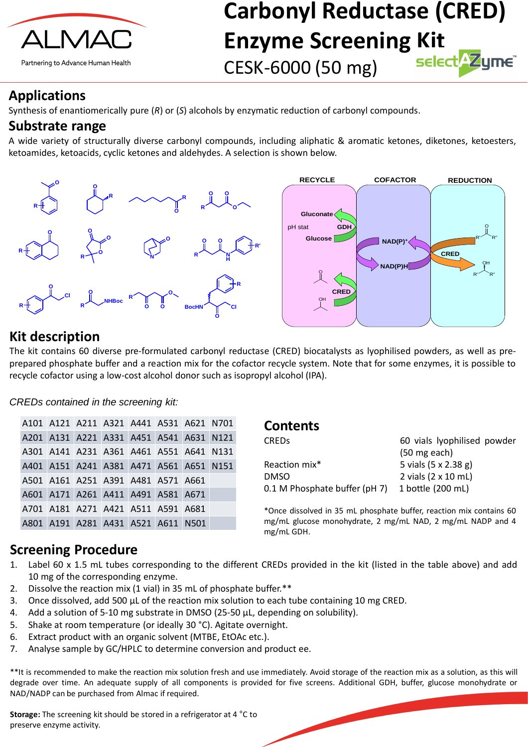

Partnering to Advance Human Health

# **Carbonyl Reductase (CRED) Enzyme Screening Kit** CESK-6000 (50 mg)

# **Applications**

Synthesis of enantiomerically pure (*R*) or (*S*) alcohols by enzymatic reduction of carbonyl compounds.

# **Substrate range**

A wide variety of structurally diverse carbonyl compounds, including aliphatic & aromatic ketones, diketones, ketoesters, ketoamides, ketoacids, cyclic ketones and aldehydes. A selection is shown below.



#### *CREDs contained in the screening kit:*

# **Kit description**

- Label 60 x 1.5 mL tubes corresponding to the different CREDs provided in the kit (listed in the table above) and add 10 mg of the corresponding enzyme.
- 2. Dissolve the reaction mix (1 vial) in 35 mL of phosphate buffer. \*\*
- 3. Once dissolved, add 500 μL of the reaction mix solution to each tube containing 10 mg CRED.
- 4. Add a solution of 5-10 mg substrate in DMSO (25-50 μL, depending on solubility).
- 5. Shake at room temperature (or ideally 30 °C). Agitate overnight.
- 6. Extract product with an organic solvent (MTBE, EtOAc etc.).
- 7. Analyse sample by GC/HPLC to determine conversion and product ee.

The kit contains 60 diverse pre-formulated carbonyl reductase (CRED) biocatalysts as lyophilised powders, as well as preprepared phosphate buffer and a reaction mix for the cofactor recycle system. Note that for some enzymes, it is possible to recycle cofactor using a low-cost alcohol donor such as isopropyl alcohol (IPA).

\*\*It is recommended to make the reaction mix solution fresh and use immediately. Avoid storage of the reaction mix as a solution, as this will degrade over time. An adequate supply of all components is provided for five screens. Additional GDH, buffer, glucose monohydrate or NAD/NADP can be purchased from Almac if required.

### **Screening Procedure**

**Storage:** The screening kit should be stored in a refrigerator at 4 °C to preserve enzyme activity.

### **Contents**

| <b>CREDS</b>                  | 60 vials lyophilised powder |  |  |  |
|-------------------------------|-----------------------------|--|--|--|
|                               | $(50 \text{ mg each})$      |  |  |  |
| Reaction mix*                 | 5 vials (5 x 2.38 g)        |  |  |  |
| <b>DMSO</b>                   | 2 vials (2 x 10 mL)         |  |  |  |
| 0.1 M Phosphate buffer (pH 7) | 1 bottle (200 mL)           |  |  |  |

\*Once dissolved in 35 mL phosphate buffer, reaction mix contains 60 mg/mL glucose monohydrate, 2 mg/mL NAD, 2 mg/mL NADP and 4 mg/mL GDH.

| A101 A121 A211 A321 A441 A531 A621 N701 |  |  |  |
|-----------------------------------------|--|--|--|
| A201 A131 A221 A331 A451 A541 A631 N121 |  |  |  |
| A301 A141 A231 A361 A461 A551 A641 N131 |  |  |  |
| A401 A151 A241 A381 A471 A561 A651 N151 |  |  |  |
| A501 A161 A251 A391 A481 A571 A661      |  |  |  |
| A601 A171 A261 A411 A491 A581 A671      |  |  |  |
| A701 A181 A271 A421 A511 A591 A681      |  |  |  |
| A801 A191 A281 A431 A521 A611 N501      |  |  |  |